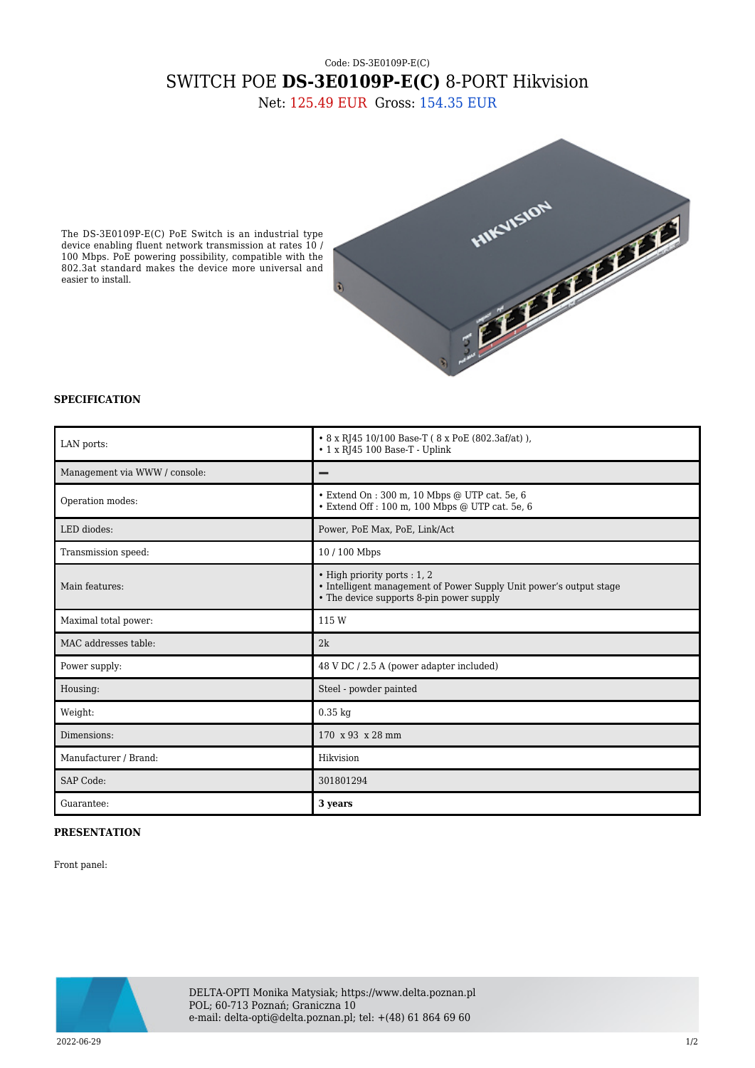## Code: DS-3E0109P-E(C) SWITCH POE **DS-3E0109P-E(C)** 8-PORT Hikvision

Net: 125.49 EUR Gross: 154.35 EUR

The DS-3E0109P-E(C) PoE Switch is an industrial type device enabling fluent network transmission at rates 10 / 100 Mbps. PoE powering possibility, compatible with the 802.3at standard makes the device more universal and easier to install.



## **SPECIFICATION**

| LAN ports:                    | • 8 x RJ45 10/100 Base-T (8 x PoE (802.3af/at)),<br>$\cdot$ 1 x RJ45 100 Base-T - Uplink                                                       |
|-------------------------------|------------------------------------------------------------------------------------------------------------------------------------------------|
| Management via WWW / console: |                                                                                                                                                |
| Operation modes:              | • Extend On : 300 m, 10 Mbps @ UTP cat. 5e, 6<br>• Extend Off : 100 m, 100 Mbps @ UTP cat. 5e, 6                                               |
| LED diodes:                   | Power, PoE Max, PoE, Link/Act                                                                                                                  |
| Transmission speed:           | 10/100 Mbps                                                                                                                                    |
| Main features:                | • High priority ports : 1, 2<br>• Intelligent management of Power Supply Unit power's output stage<br>• The device supports 8-pin power supply |
| Maximal total power:          | 115 W                                                                                                                                          |
| MAC addresses table:          | 2k                                                                                                                                             |
| Power supply:                 | 48 V DC / 2.5 A (power adapter included)                                                                                                       |
| Housing:                      | Steel - powder painted                                                                                                                         |
| Weight:                       | $0.35$ kg                                                                                                                                      |
| Dimensions:                   | 170 x 93 x 28 mm                                                                                                                               |
| Manufacturer / Brand:         | Hikvision                                                                                                                                      |
| SAP Code:                     | 301801294                                                                                                                                      |
| Guarantee:                    | 3 years                                                                                                                                        |

## **PRESENTATION**

Front panel:



DELTA-OPTI Monika Matysiak; https://www.delta.poznan.pl POL; 60-713 Poznań; Graniczna 10 e-mail: delta-opti@delta.poznan.pl; tel: +(48) 61 864 69 60

2022-06-29 1/2